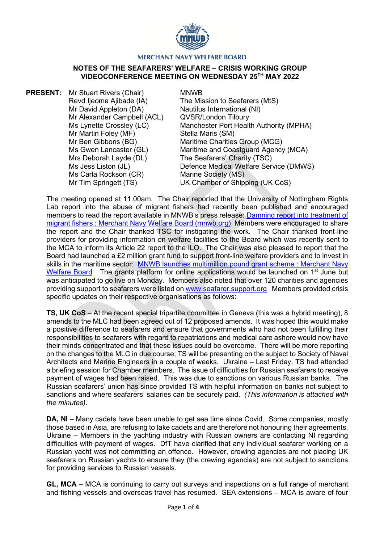

## **MERCHANT NAVY WELFARE BOARD**

## **NOTES OF THE SEAFARERS' WELFARE – CRISIS WORKING GROUP VIDEOCONFERENCE MEETING ON WEDNESDAY 25TH MAY 2022**

**PRESENT:** Mr Stuart Rivers (Chair) Revd Ijeoma Ajibade (IA) Mr David Appleton (DA) Mr Alexander Campbell (ACL) Ms Lynette Crossley (LC) Mr Martin Foley (MF) Mr Ben Gibbons (BG) Ms Gwen Lancaster (GL) Mrs Deborah Layde (DL) Ms Jess Liston (JL) Ms Carla Rockson (CR) Mr Tim Springett (TS)

MNWB

The Mission to Seafarers (MtS) Nautilus International (NI) QVSR/London Tilbury Manchester Port Health Authority (MPHA) Stella Maris (SM) Maritime Charities Group (MCG) Maritime and Coastguard Agency (MCA) The Seafarers' Charity (TSC) Defence Medical Welfare Service (DMWS) Marine Society (MS) UK Chamber of Shipping (UK CoS)

The meeting opened at 11.00am. The Chair reported that the University of Nottingham Rights Lab report into the abuse of migrant fishers had recently been published and encouraged members to read the report available in MNWB's press release: [Damning report into treatment of](https://www.mnwb.org/blog-page/new-report-shows-poor-treatment-of-migrant-fishers)  [migrant fishers : Merchant Navy Welfare Board \(mnwb.org\)](https://www.mnwb.org/blog-page/new-report-shows-poor-treatment-of-migrant-fishers) Members were encouraged to share the report and the Chair thanked TSC for instigating the work. The Chair thanked front-line providers for providing information on welfare facilities to the Board which was recently sent to the MCA to inform its Article 22 report to the ILO. The Chair was also pleased to report that the Board had launched a £2 million grant fund to support front-line welfare providers and to invest in skills in the maritime sector: MNWB launches multimillion pound grant scheme : Merchant Navy [Welfare Board](https://www.mnwb.org/blog-page/mnwb-launches-multimillion-pound-grant-scheme) The grants platform for online applications would be launched on 1<sup>st</sup> June but was anticipated to go live on Monday. Members also noted that over 120 charities and agencies providing support to seafarers were listed on [www.seafarer.support.org](http://www.seafarer.support.org/) Members provided crisis specific updates on their respective organisations as follows:

**TS, UK CoS** – At the recent special tripartite committee in Geneva (this was a hybrid meeting), 8 amends to the MLC had been agreed out of 12 proposed amends. It was hoped this would make a positive difference to seafarers and ensure that governments who had not been fulfilling their responsibilities to seafarers with regard to repatriations and medical care ashore would now have their minds concentrated and that these issues could be overcome. There will be more reporting on the changes to the MLC in due course; TS will be presenting on the subject to Society of Naval Architects and Marine Engineers in a couple of weeks. Ukraine – Last Friday, TS had attended a briefing session for Chamber members. The issue of difficulties for Russian seafarers to receive payment of wages had been raised. This was due to sanctions on various Russian banks. The Russian seafarers' union has since provided TS with helpful information on banks not subject to sanctions and where seafarers' salaries can be securely paid. *(This information is attached with the minutes)*.

**DA, NI** – Many cadets have been unable to get sea time since Covid. Some companies, mostly those based in Asia, are refusing to take cadets and are therefore not honouring their agreements. Ukraine – Members in the yachting industry with Russian owners are contacting NI regarding difficulties with payment of wages. DfT have clarified that any individual seafarer working on a Russian yacht was not committing an offence. However, crewing agencies are not placing UK seafarers on Russian yachts to ensure they (the crewing agencies) are not subject to sanctions for providing services to Russian vessels.

**GL, MCA** – MCA is continuing to carry out surveys and inspections on a full range of merchant and fishing vessels and overseas travel has resumed. SEA extensions – MCA is aware of four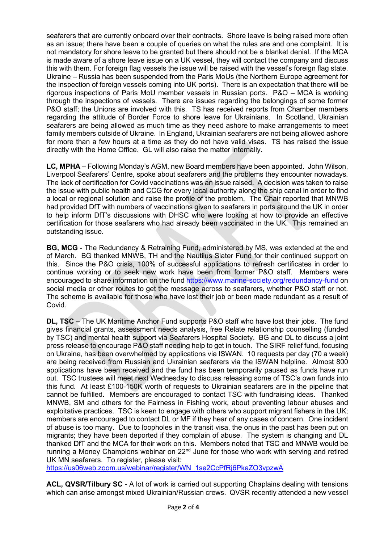seafarers that are currently onboard over their contracts. Shore leave is being raised more often as an issue; there have been a couple of queries on what the rules are and one complaint. It is not mandatory for shore leave to be granted but there should not be a blanket denial. If the MCA is made aware of a shore leave issue on a UK vessel, they will contact the company and discuss this with them. For foreign flag vessels the issue will be raised with the vessel's foreign flag state. Ukraine – Russia has been suspended from the Paris MoUs (the Northern Europe agreement for the inspection of foreign vessels coming into UK ports). There is an expectation that there will be rigorous inspections of Paris MoU member vessels in Russian ports. P&O – MCA is working through the inspections of vessels. There are issues regarding the belongings of some former P&O staff; the Unions are involved with this. TS has received reports from Chamber members regarding the attitude of Border Force to shore leave for Ukrainians. In Scotland, Ukrainian seafarers are being allowed as much time as they need ashore to make arrangements to meet family members outside of Ukraine. In England, Ukrainian seafarers are not being allowed ashore for more than a few hours at a time as they do not have valid visas. TS has raised the issue directly with the Home Office. GL will also raise the matter internally.

**LC, MPHA** – Following Monday's AGM, new Board members have been appointed. John Wilson, Liverpool Seafarers' Centre, spoke about seafarers and the problems they encounter nowadays. The lack of certification for Covid vaccinations was an issue raised. A decision was taken to raise the issue with public health and CCG for every local authority along the ship canal in order to find a local or regional solution and raise the profile of the problem. The Chair reported that MNWB had provided DfT with numbers of vaccinations given to seafarers in ports around the UK in order to help inform DfT's discussions with DHSC who were looking at how to provide an effective certification for those seafarers who had already been vaccinated in the UK. This remained an outstanding issue.

**BG, MCG** - The Redundancy & Retraining Fund, administered by MS, was extended at the end of March. BG thanked MNWB, TH and the Nautilus Slater Fund for their continued support on this. Since the P&O crisis, 100% of successful applications to refresh certificates in order to continue working or to seek new work have been from former P&O staff. Members were encouraged to share information on the fund<https://www.marine-society.org/redundancy-fund> on social media or other routes to get the message across to seafarers, whether P&O staff or not. The scheme is available for those who have lost their job or been made redundant as a result of Covid.

**DL, TSC** – The UK Maritime Anchor Fund supports P&O staff who have lost their jobs. The fund gives financial grants, assessment needs analysis, free Relate relationship counselling (funded by TSC) and mental health support via Seafarers Hospital Society. BG and DL to discuss a joint press release to encourage P&O staff needing help to get in touch. The SIRF relief fund, focusing on Ukraine, has been overwhelmed by applications via ISWAN. 10 requests per day (70 a week) are being received from Russian and Ukrainian seafarers via the ISWAN helpline. Almost 800 applications have been received and the fund has been temporarily paused as funds have run out. TSC trustees will meet next Wednesday to discuss releasing some of TSC's own funds into this fund. At least £100-150K worth of requests to Ukrainian seafarers are in the pipeline that cannot be fulfilled. Members are encouraged to contact TSC with fundraising ideas. Thanked MNWB, SM and others for the Fairness in Fishing work, about preventing labour abuses and exploitative practices. TSC is keen to engage with others who support migrant fishers in the UK; members are encouraged to contact DL or MF if they hear of any cases of concern. One incident of abuse is too many. Due to loopholes in the transit visa, the onus in the past has been put on migrants; they have been deported if they complain of abuse. The system is changing and DL thanked DfT and the MCA for their work on this. Members noted that TSC and MNWB would be running a Money Champions webinar on  $22<sup>nd</sup>$  June for those who work with serving and retired UK MN seafarers. To register, please visit:

[https://us06web.zoom.us/webinar/register/WN\\_1se2CcPfRj6PkaZO3vpzwA](https://us06web.zoom.us/webinar/register/WN_1se2CcPfRj6PkaZO3vpzwA)

**ACL, QVSR/Tilbury SC** - A lot of work is carried out supporting Chaplains dealing with tensions which can arise amongst mixed Ukrainian/Russian crews. QVSR recently attended a new vessel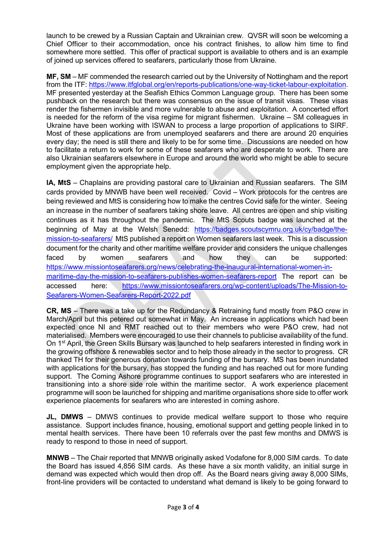launch to be crewed by a Russian Captain and Ukrainian crew. QVSR will soon be welcoming a Chief Officer to their accommodation, once his contract finishes, to allow him time to find somewhere more settled. This offer of practical support is available to others and is an example of joined up services offered to seafarers, particularly those from Ukraine.

**MF, SM** – MF commended the research carried out by the University of Nottingham and the report from the ITF: [https://www.itfglobal.org/en/reports-publications/one-way-ticket-labour-exploitation.](https://www.itfglobal.org/en/reports-publications/one-way-ticket-labour-exploitation) MF presented yesterday at the Seafish Ethics Common Language group. There has been some pushback on the research but there was consensus on the issue of transit visas. These visas render the fishermen invisible and more vulnerable to abuse and exploitation. A concerted effort is needed for the reform of the visa regime for migrant fishermen. Ukraine – SM colleagues in Ukraine have been working with ISWAN to process a large proportion of applications to SIRF. Most of these applications are from unemployed seafarers and there are around 20 enquiries every day; the need is still there and likely to be for some time. Discussions are needed on how to facilitate a return to work for some of these seafarers who are desperate to work. There are also Ukrainian seafarers elsewhere in Europe and around the world who might be able to secure employment given the appropriate help.

**IA, MtS** – Chaplains are providing pastoral care to Ukrainian and Russian seafarers. The SIM cards provided by MNWB have been well received. Covid – Work protocols for the centres are being reviewed and MtS is considering how to make the centres Covid safe for the winter. Seeing an increase in the number of seafarers taking shore leave. All centres are open and ship visiting continues as it has throughout the pandemic. The MtS Scouts badge was launched at the beginning of May at the Welsh Senedd: [https://badges.scoutscymru.org.uk/cy/badge/the](https://badges.scoutscymru.org.uk/cy/badge/the-mission-to-seafarers/)[mission-to-seafarers/](https://badges.scoutscymru.org.uk/cy/badge/the-mission-to-seafarers/) MtS published a report on Women seafarers last week. This is a discussion document for the charity and other maritime welfare provider and considers the unique challenges faced by women seafarers and how they can be supported: [https://www.missiontoseafarers.org/news/celebrating-the-inaugural-international-women-in](https://www.missiontoseafarers.org/news/celebrating-the-inaugural-international-women-in-maritime-day-the-mission-to-seafarers-publishes-women-seafarers-report)[maritime-day-the-mission-to-seafarers-publishes-women-seafarers-report](https://www.missiontoseafarers.org/news/celebrating-the-inaugural-international-women-in-maritime-day-the-mission-to-seafarers-publishes-women-seafarers-report) The report can be accessed here: [https://www.missiontoseafarers.org/wp-content/uploads/The-Mission-to-](https://www.missiontoseafarers.org/wp-content/uploads/The-Mission-to-Seafarers-Women-Seafarers-Report-2022.pdf)[Seafarers-Women-Seafarers-Report-2022.pdf](https://www.missiontoseafarers.org/wp-content/uploads/The-Mission-to-Seafarers-Women-Seafarers-Report-2022.pdf)

**CR, MS** – There was a take up for the Redundancy & Retraining fund mostly from P&O crew in March/April but this petered out somewhat in May. An increase in applications which had been expected once NI and RMT reached out to their members who were P&O crew, had not materialised. Members were encouraged to use their channels to publicise availability of the fund. On 1<sup>st</sup> April, the Green Skills Bursary was launched to help seafarers interested in finding work in the growing offshore & renewables sector and to help those already in the sector to progress. CR thanked TH for their generous donation towards funding of the bursary. MS has been inundated with applications for the bursary, has stopped the funding and has reached out for more funding support. The Coming Ashore programme continues to support seafarers who are interested in transitioning into a shore side role within the maritime sector. A work experience placement programme will soon be launched for shipping and maritime organisations shore side to offer work experience placements for seafarers who are interested in coming ashore.

**JL, DMWS** – DMWS continues to provide medical welfare support to those who require assistance. Support includes finance, housing, emotional support and getting people linked in to mental health services. There have been 10 referrals over the past few months and DMWS is ready to respond to those in need of support.

**MNWB** – The Chair reported that MNWB originally asked Vodafone for 8,000 SIM cards. To date the Board has issued 4,856 SIM cards. As these have a six month validity, an initial surge in demand was expected which would then drop off. As the Board nears giving away 8,000 SIMs, front-line providers will be contacted to understand what demand is likely to be going forward to